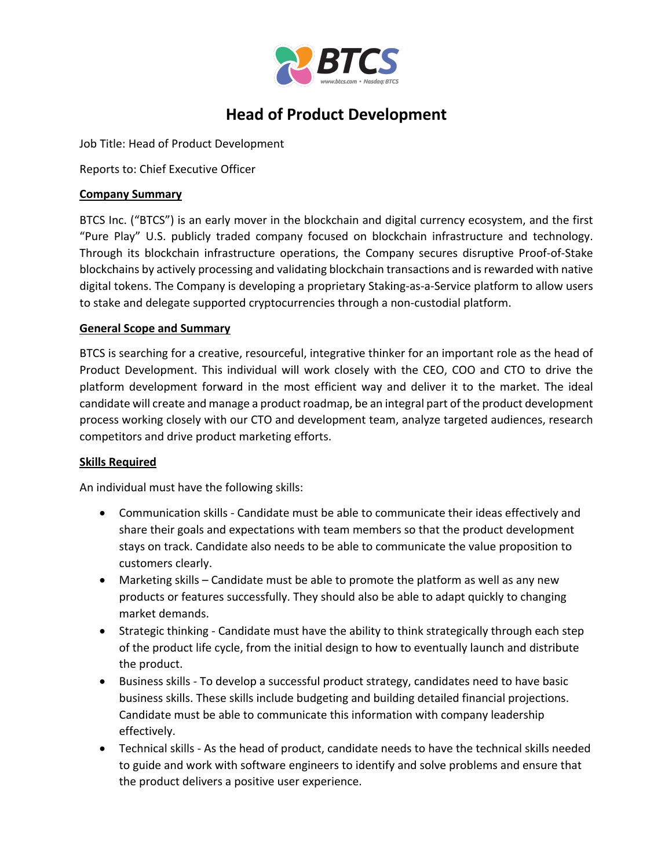

# **Head of Product Development**

Job Title: Head of Product Development

Reports to: Chief Executive Officer

## **Company Summary**

BTCS Inc. ("BTCS") is an early mover in the blockchain and digital currency ecosystem, and the first "Pure Play" U.S. publicly traded company focused on blockchain infrastructure and technology. Through its blockchain infrastructure operations, the Company secures disruptive Proof-of-Stake blockchains by actively processing and validating blockchain transactions and is rewarded with native digital tokens. The Company is developing a proprietary Staking-as-a-Service platform to allow users to stake and delegate supported cryptocurrencies through a non-custodial platform.

### **General Scope and Summary**

BTCS is searching for a creative, resourceful, integrative thinker for an important role as the head of Product Development. This individual will work closely with the CEO, COO and CTO to drive the platform development forward in the most efficient way and deliver it to the market. The ideal candidate will create and manage a product roadmap, be an integral part of the product development process working closely with our CTO and development team, analyze targeted audiences, research competitors and drive product marketing efforts.

#### **Skills Required**

An individual must have the following skills:

- Communication skills Candidate must be able to communicate their ideas effectively and share their goals and expectations with team members so that the product development stays on track. Candidate also needs to be able to communicate the value proposition to customers clearly.
- Marketing skills Candidate must be able to promote the platform as well as any new products or features successfully. They should also be able to adapt quickly to changing market demands.
- Strategic thinking Candidate must have the ability to think strategically through each step of the product life cycle, from the initial design to how to eventually launch and distribute the product.
- Business skills To develop a successful product strategy, candidates need to have basic business skills. These skills include budgeting and building detailed financial projections. Candidate must be able to communicate this information with company leadership effectively.
- Technical skills As the head of product, candidate needs to have the technical skills needed to guide and work with software engineers to identify and solve problems and ensure that the product delivers a positive user experience.